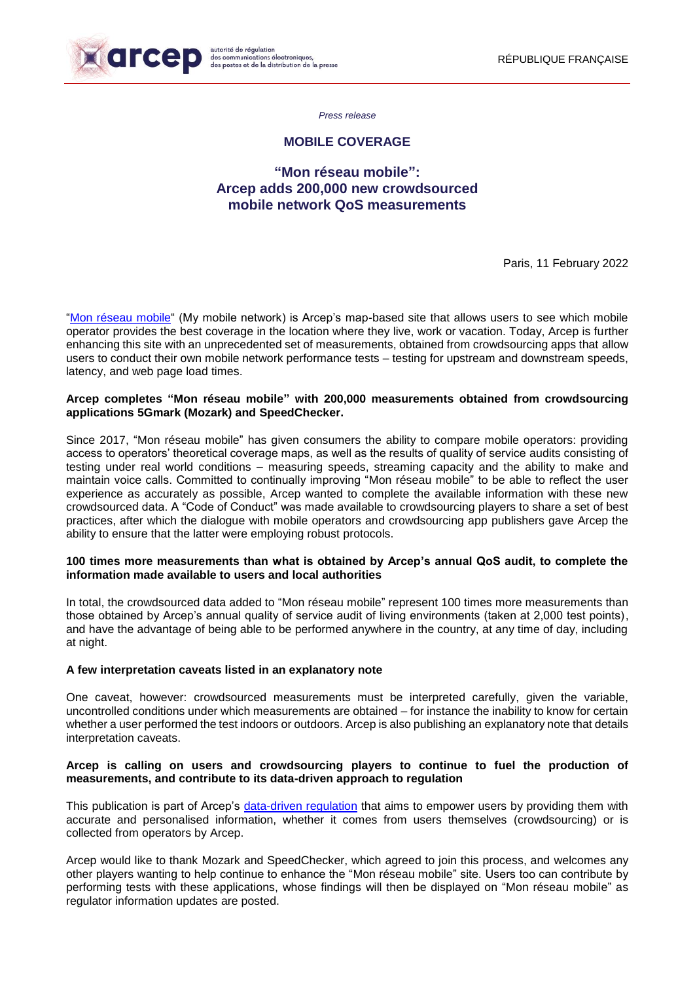

*Press release*

## **MOBILE COVERAGE**

# **"Mon réseau mobile": Arcep adds 200,000 new crowdsourced mobile network QoS measurements**

Paris, 11 February 2022

["Mon réseau mobile"](https://monreseaumobile.arcep.fr/) (My mobile network) is Arcep's map-based site that allows users to see which mobile operator provides the best coverage in the location where they live, work or vacation. Today, Arcep is further enhancing this site with an unprecedented set of measurements, obtained from crowdsourcing apps that allow users to conduct their own mobile network performance tests – testing for upstream and downstream speeds, latency, and web page load times.

### **Arcep completes "Mon réseau mobile" with 200,000 measurements obtained from crowdsourcing applications 5Gmark (Mozark) and SpeedChecker.**

Since 2017, "Mon réseau mobile" has given consumers the ability to compare mobile operators: providing access to operators' theoretical coverage maps, as well as the results of quality of service audits consisting of testing under real world conditions – measuring speeds, streaming capacity and the ability to make and maintain voice calls. Committed to continually improving "Mon réseau mobile" to be able to reflect the user experience as accurately as possible, Arcep wanted to complete the available information with these new crowdsourced data. A "Code of Conduct" was made available to crowdsourcing players to share a set of best practices, after which the dialogue with mobile operators and crowdsourcing app publishers gave Arcep the ability to ensure that the latter were employing robust protocols.

### **100 times more measurements than what is obtained by Arcep's annual QoS audit, to complete the information made available to users and local authorities**

In total, the crowdsourced data added to "Mon réseau mobile" represent 100 times more measurements than those obtained by Arcep's annual quality of service audit of living environments (taken at 2,000 test points), and have the advantage of being able to be performed anywhere in the country, at any time of day, including at night.

### **A few interpretation caveats listed in an explanatory note**

One caveat, however: crowdsourced measurements must be interpreted carefully, given the variable, uncontrolled conditions under which measurements are obtained – for instance the inability to know for certain whether a user performed the test indoors or outdoors. Arcep is also publishing an explanatory note that details interpretation caveats.

### **Arcep is calling on users and crowdsourcing players to continue to fuel the production of measurements, and contribute to its data-driven approach to regulation**

This publication is part of Arcep's [data-driven reg](https://www.arcep.fr/la-regulation/grands-dossiers-thematiques-transverses/la-regulation-par-la-data.html)ulation that aims to empower users by providing them with accurate and personalised information, whether it comes from users themselves (crowdsourcing) or is collected from operators by Arcep.

Arcep would like to thank Mozark and SpeedChecker, which agreed to join this process, and welcomes any other players wanting to help continue to enhance the "Mon réseau mobile" site. Users too can contribute by performing tests with these applications, whose findings will then be displayed on "Mon réseau mobile" as regulator information updates are posted.